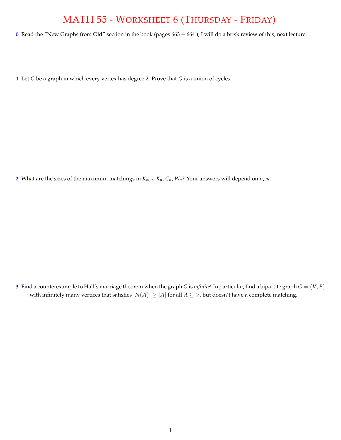## MATH 55 - WORKSHEET 6 (THURSDAY - FRIDAY)

**0** Read the "New Graphs from Old" section in the book (pages 663 - 664); I will do a brisk review of this, next lecture.

**1** Let *G* be a graph in which every vertex has degree 2. Prove that *G* is a union of cycles.

**2** What are the sizes of the maximum matchings in *Km*,*n*, *Kn*, *Cn*, *Wn*? Your answers will depend on *n*, *m*.

**3** Find a counterexample to Hall's marriage theorem when the graph *G* is *infinite*! In particular, find a bipartite graph  $G = (V, E)$ with infinitely many vertices that satisfies  $|N(A)| \geq |A|$  for all  $A \subseteq V$ , but doesn't have a complete matching.